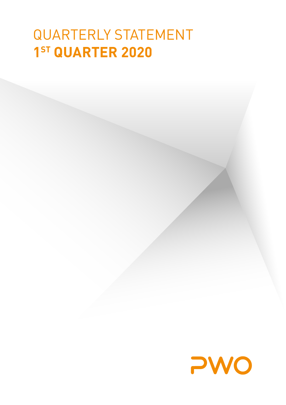# QUARTERLY STATEMENT **1ST QUARTER 2020**

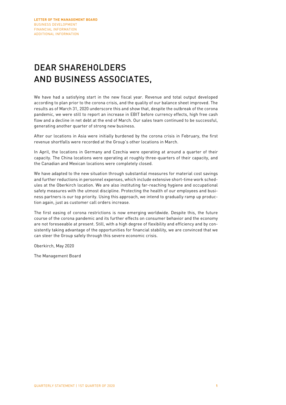# DEAR SHAREHOLDERS AND BUSINESS ASSOCIATES,

We have had a satisfying start in the new fiscal year. Revenue and total output developed according to plan prior to the corona crisis, and the quality of our balance sheet improved. The results as of March 31, 2020 underscore this and show that, despite the outbreak of the corona pandemic, we were still to report an increase in EBIT before currency effects, high free cash flow and a decline in net debt at the end of March. Our sales team continued to be successful, generating another quarter of strong new business.

After our locations in Asia were initially burdened by the corona crisis in February, the first revenue shortfalls were recorded at the Group's other locations in March.

In April, the locations in Germany and Czechia were operating at around a quarter of their capacity. The China locations were operating at roughly three-quarters of their capacity, and the Canadian and Mexican locations were completely closed.

We have adapted to the new situation through substantial measures for material cost savings and further reductions in personnel expenses, which include extensive short-time work schedules at the Oberkirch location. We are also instituting far-reaching hygiene and occupational safety measures with the utmost discipline. Protecting the health of our employees and business partners is our top priority. Using this approach, we intend to gradually ramp up production again, just as customer call orders increase.

The first easing of corona restrictions is now emerging worldwide. Despite this, the future course of the corona pandemic and its further effects on consumer behavior and the economy are not foreseeable at present. Still, with a high degree of flexibility and efficiency and by consistently taking advantage of the opportunities for financial stability, we are convinced that we can steer the Group safely through this severe economic crisis.

Oberkirch, May 2020

The Management Board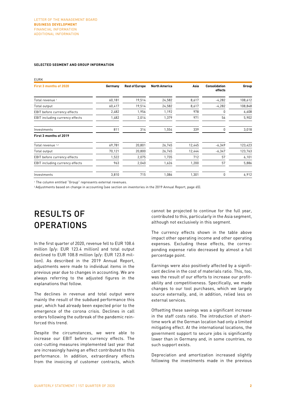#### **SELECTED SEGMENT AND GROUP INFORMATION**

| <b>EURK</b>                     |         |                       |                      |        |                                 |         |
|---------------------------------|---------|-----------------------|----------------------|--------|---------------------------------|---------|
| First 3 months of 2020          | Germany | <b>Rest of Europe</b> | <b>North America</b> | Asia   | <b>Consolidation</b><br>effects | Group   |
| Total revenue 1                 | 60,181  | 19,514                | 24,582               | 8,617  | $-4,282$                        | 108,612 |
| Total output                    | 60,417  | 19,514                | 24,582               | 8,617  | $-4,282$                        | 108,848 |
| EBIT before currency effects    | 2,482   | 1,956                 | 1,192                | 978    | 0                               | 6,608   |
| EBIT including currency effects | 1,482   | 2,014                 | 1,379                | 971    | 56                              | 5,902   |
| Investments                     | 811     | 314                   | 1,554                | 339    | 0                               | 3,018   |
| First 3 months of 2019          |         |                       |                      |        |                                 |         |
| Total revenue 1,2               | 69,781  | 20,801                | 26,745               | 12,445 | $-6,349$                        | 123,423 |
| Total output                    | 70,121  | 20,800                | 26,745               | 12,444 | $-6,347$                        | 123,763 |
| EBIT before currency effects    | 1,522   | 2,075                 | 1,735                | 712    | 57                              | 6,101   |
| EBIT including currency effects | 963     | 2,040                 | 1,626                | 1,200  | 57                              | 5,886   |
| Investments                     | 3,810   | 715                   | 1,086                | 1,301  | 0                               | 6,912   |

<sup>1</sup> The column entitled "Group" represents external revenues.

<sup>2</sup> Adjustments based on change in accounting (see section on inventories in the 2019 Annual Report, page 65).

# RESULTS OF **OPERATIONS**

In the first quarter of 2020, revenue fell to EUR 108.6 million (p/y: EUR 123.4 million) and total output declined to EUR 108.8 million (p/y: EUR 123.8 million). As described in the 2019 Annual Report, adjustments were made to individual items in the previous year due to changes in accounting. We are always referring to the adjusted figures in the explanations that follow.

The declines in revenue and total output were mainly the result of the subdued performance this year, which had already been expected prior to the emergence of the corona crisis. Declines in call orders following the outbreak of the pandemic reinforced this trend.

Despite the circumstances, we were able to increase our EBIT before currency effects. The cost-cutting measures implemented last year that are increasingly having an effect contributed to this performance. In addition, extraordinary effects from the invoicing of customer contracts, which

cannot be projected to continue for the full year, contributed to this, particularly in the Asia segment, although not exclusively in this segment.

The currency effects shown in the table above impact other operating income and other operating expenses. Excluding these effects, the corresponding expense ratio decreased by almost a full percentage point.

Earnings were also positively affected by a significant decline in the cost of materials ratio. This, too, was the result of our efforts to increase our profitability and competitiveness. Specifically, we made changes to our tool purchases, which we largely source externally, and, in addition, relied less on external services.

Offsetting these savings was a significant increase in the staff costs ratio. The introduction of shorttime work at the German location had only a limited mitigating effect. At the international locations, the government support to secure jobs is significantly lower than in Germany and, in some countries, no such support exists.

Depreciation and amortization increased slightly following the investments made in the previous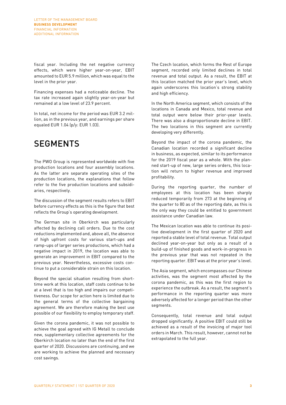fiscal year. Including the net negative currency effects, which were higher year-on-year, EBIT amounted to EUR 5.9 million, which was equal to the level in the prior year.

Financing expenses had a noticeable decline. The tax rate increased again slightly year-on-year but remained at a low level of 23.9 percent.

In total, net income for the period was EUR 3.2 million, as in the previous year, and earnings per share equaled EUR 1.04 (p/y: EUR 1.03).

### SEGMENTS

The PWO Group is represented worldwide with five production locations and four assembly locations. As the latter are separate operating sites of the production locations, the explanations that follow refer to the five production locations and subsidiaries, respectively.

The discussion of the segment results refers to EBIT before currency effects as this is the figure that best reflects the Group's operating development.

The German site in Oberkirch was particularly affected by declining call orders. Due to the cost reductions implemented and, above all, the absence of high upfront costs for various start-ups and ramp-ups of larger series productions, which had a negative impact in 2019, the location was able to generate an improvement in EBIT compared to the previous year. Nevertheless, excessive costs continue to put a considerable strain on this location.

Beyond the special situation resulting from shorttime work at this location, staff costs continue to be at a level that is too high and impairs our competitiveness. Our scope for action here is limited due to the general terms of the collective bargaining agreement. We are therefore making the best use possible of our flexibility to employ temporary staff.

Given the corona pandemic, it was not possible to achieve the goal agreed with IG Metall to conclude new, supplementary collective agreements for the Oberkirch location no later than the end of the first quarter of 2020. Discussions are continuing, and we are working to achieve the planned and necessary cost savings.

The Czech location, which forms the Rest of Europe segment, recorded only limited declines in total revenue and total output. As a result, the EBIT at this location matched the prior year's level, which again underscores this location's strong stability and high efficiency.

In the North America segment, which consists of the locations in Canada and Mexico, total revenue and total output were below their prior-year levels. There was also a disproportionate decline in EBIT. The two locations in this segment are currently developing very differently.

Beyond the impact of the corona pandemic, the Canadian location recorded a significant decline in business, as expected, similar to its performance for the 2019 fiscal year as a whole. With the planned start-up of new, large series orders, this location will return to higher revenue and improved profitability.

During the reporting quarter, the number of employees at this location has been sharply reduced temporarily from 273 at the beginning of the quarter to 80 as of the reporting date, as this is the only way they could be entitled to government assistance under Canadian law.

The Mexican location was able to continue its positive development in the first quarter of 2020 and reported a stable level of total revenue. Total output declined year-on-year but only as a result of a build-up of finished goods and work-in-progress in the previous year that was not repeated in the reporting quarter. EBIT was at the prior year's level.

The Asia segment, which encompasses our Chinese activities, was the segment most affected by the corona pandemic, as this was the first region to experience the outbreak. As a result, the segment's performance in the reporting quarter was more adversely affected for a longer period than the other segments.

Consequently, total revenue and total output dropped significantly. A positive EBIT could still be achieved as a result of the invoicing of major tool orders in March. This result, however, cannot not be extrapolated to the full year.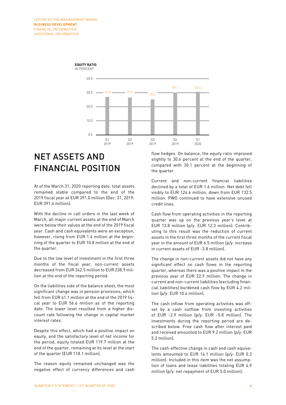

# NET ASSETS AND FINANCIAL POSITION

At of the March 31, 2020 reporting date, total assets remained stable compared to the end of the 2019 fiscal year at EUR 391.0 million (Dec. 31, 2019: EUR 391.6 million).

With the decline in call orders in the last week of March, all major current assets at the end of March were below their values at the end of the 2019 fiscal year. Cash and cash equivalents were an exception, however, rising from EUR 1.4 million at the beginning of the quarter to EUR 10.8 million at the end of the quarter.

Due to the low level of investment in the first three months of the fiscal year, non-current assets decreased from EUR 242.5 million to EUR 238.9 million at the end of the reporting period.

On the liabilities side of the balance sheet, the most significant change was in pension provisions, which fell from EUR 61.1 million at the end of the 2019 fiscal year to EUR 56.6 million as of the reporting date. The lower level resulted from a higher discount rate following the change in capital market interest rates.

Despite this effect, which had a positive impact on equity, and the satisfactory level of net income for the period, equity totaled EUR 119.7 million at the end of the quarter, remaining at its level at the start of the quarter (EUR 118.1 million).

The reason equity remained unchanged was the negative effect of currency differences and cash flow hedges. On balance, the equity ratio improved slightly to 30.6 percent at the end of the quarter, compared with 30.1 percent at the beginning of the quarter.

Current and non-current financial liabilities declined by a total of EUR 1.6 million. Net debt fell visibly to EUR 124.6 million, down from EUR 132.5 million. PWO continued to have extensive unused credit lines.

Cash flow from operating activities in the reporting quarter was up on the previous year's level at EUR 13.8 million (p/y: EUR 12.3 million). Contributing to this result was the reduction of current assets in the first three months of the current fiscal year in the amount of EUR 6.5 million (p/y: increase in current assets of EUR -3.8 million).

The change in non-current assets did not have any significant effect on cash flows in the reporting quarter, whereas there was a positive impact in the previous year of EUR 22.9 million. The change in current and non-current liabilities (excluding financial liabilities) burdened cash flow by EUR 4.2 million (p/y: EUR 10.4 million).

The cash inflow from operating activities was offset by a cash outflow from investing activities of EUR -2.9 million (p/y: EUR -5.8 million). The investments during the reporting period are described below. Free cash flow after interest paid and received amounted to EUR 9.2 million (p/y: EUR 5.2 million).

The cash-effective change in cash and cash equivalents amounted to EUR 14.1 million (p/y: EUR 0.3 million). Included in this item was the net assumption of loans and lease liabilities totaling EUR 4.9 million (p/y: net repayment of EUR 5.0 million).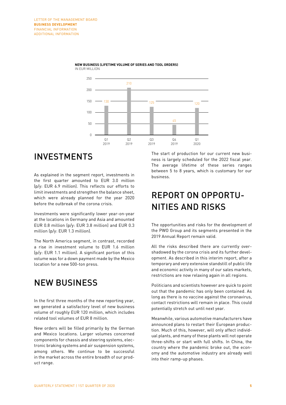

#### **NEW BUSINESS (LIFETIME VOLUME OF SERIES AND TOOL ORDERS)** IN EUR MILLION

### INVESTMENTS

As explained in the segment report, investments in the first quarter amounted to EUR 3.0 million (p/y: EUR 6.9 million). This reflects our efforts to limit investments and strengthen the balance sheet, which were already planned for the year 2020 before the outbreak of the corona crisis.

Investments were significantly lower year-on-year at the locations in Germany and Asia and amounted EUR 0.8 million (p/y: EUR 3.8 million) and EUR 0.3 million (p/y: EUR 1.3 million).

The North America segment, in contrast, recorded a rise in investment volume to EUR 1.6 million (p/y: EUR 1.1 million). A significant portion of this volume was for a down payment made by the Mexico location for a new 500-ton press.

### NEW BUSINESS

In the first three months of the new reporting year, we generated a satisfactory level of new business volume of roughly EUR 120 million, which includes related tool volumes of EUR 8 million.

New orders will be filled primarily by the German and Mexico locations. Larger volumes concerned components for chassis and steering systems, electronic braking systems and air suspension systems, among others. We continue to be successful in the market across the entire breadth of our product range.

The start of production for our current new business is largely scheduled for the 2022 fiscal year. The average lifetime of these series ranges between 5 to 8 years, which is customary for our business.

### REPORT ON OPPORTU-NITIES AND RISKS

The opportunities and risks for the development of the PWO Group and its segments presented in the 2019 Annual Report remain valid.

All the risks described there are currently overshadowed by the corona crisis and its further development. As described in this interim report, after a temporary and very extensive standstill of public life and economic activity in many of our sales markets, restrictions are now relaxing again in all regions.

Politicians and scientists however are quick to point out that the pandemic has only been contained. As long as there is no vaccine against the coronavirus, contact restrictions will remain in place. This could potentially stretch out until next year.

Meanwhile, various automotive manufacturers have announced plans to restart their European production. Much of this, however, will only affect individual plants, and many of these plants will not operate three-shifts or start with full shifts. In China, the country where the pandemic broke out, the economy and the automotive industry are already well into their ramp-up phases.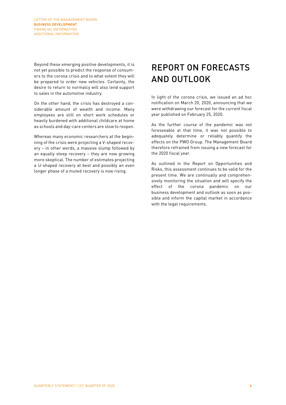Beyond these emerging positive developments, it is not yet possible to predict the response of consumers to the corona crisis and to what extent they will be prepared to order new vehicles. Certainly, the desire to return to normalcy will also lend support to sales in the automotive industry.

On the other hand, the crisis has destroyed a considerable amount of wealth and income. Many employees are still on short work schedules or heavily burdened with additional childcare at home as schools and day-care centers are slow to reopen.

Whereas many economic researchers at the beginning of the crisis were projecting a V-shaped recovery – in other words, a massive slump followed by an equally steep recovery – they are now growing more skeptical. The number of estimates projecting a U-shaped recovery at best and possibly an even longer phase of a muted recovery is now rising.

# REPORT ON FORECASTS AND OUTLOOK

In light of the corona crisis, we issued an ad hoc notification on March 20, 2020, announcing that we were withdrawing our forecast for the current fiscal year published on February 25, 2020.

As the further course of the pandemic was not foreseeable at that time, it was not possible to adequately determine or reliably quantify the effects on the PWO Group. The Management Board therefore refrained from issuing a new forecast for the 2020 fiscal year.

As outlined in the Report on Opportunities and Risks, this assessment continues to be valid for the present time. We are continually and comprehensively monitoring the situation and will specify the effect of the corona pandemic on our business development and outlook as soon as possible and inform the capital market in accordance with the legal requirements.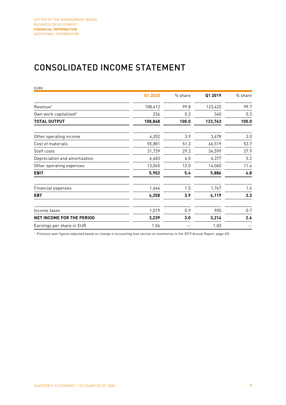### CONSOLIDATED INCOME STATEMENT

| <b>EURK</b>                       |         |         |         |         |
|-----------------------------------|---------|---------|---------|---------|
|                                   | Q1 2020 | % share | Q1 2019 | % share |
| Revenue <sup>1</sup>              | 108,612 | 99.8    | 123,423 | 99.7    |
| Own work capitalized <sup>1</sup> | 236     | 0.2     | 340     | 0.3     |
| TOTAL OUTPUT                      | 108,848 | 100.0   | 123,763 | 100.0   |
| Other operating income            | 4,202   | 3.9     | 3,678   | 3.0     |
| Cost of materials                 | 55,881  | 51.3    | 66,519  | 53.7    |
| Staff costs                       | 31,739  | 29.2    | 34,599  | 27.9    |
| Depreciation and amortization     | 6,483   | 6.0     | 6,377   | 5.2     |
| Other operating expenses          | 13,045  | 12.0    | 14,060  | 11.4    |
| <b>EBIT</b>                       | 5,902   | 5.4     | 5,886   | 4.8     |
| Financial expenses                | 1,644   | 1.5     | 1,767   | 1.4     |
| <b>EBT</b>                        | 4,258   | 3.9     | 4,119   | 3.3     |
| Income taxes                      | 1,019   | 0.9     | 905     | 0.7     |
| <b>NET INCOME FOR THE PERIOD</b>  | 3,239   | 3.0     | 3,214   | 2.6     |
| Earnings per share in EUR         | 1.04    |         | 1.03    |         |

<sup>1</sup> Previous-year figures adjusted based on change in accounting (see section on inventories in the 2019 Annual Report, page 65).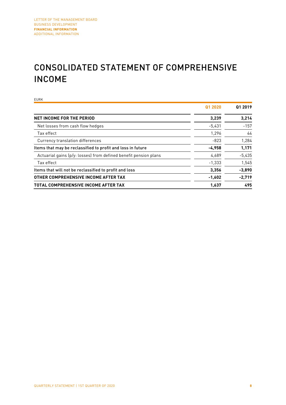### CONSOLIDATED STATEMENT OF COMPREHENSIVE INCOME

EURK **Q1 2020 Q1 2019 NET INCOME FOR THE PERIOD 3,239 3,214** Net losses from cash flow hedges  $-5,431$  -157  $\frac{1}{2}$  Tax effect and the contract of the contract of the contract of the contract of the contract of the contract of the contract of the contract of the contract of the contract of the contract of the contract of the Currency translation differences  $1,284$ Items that may be reclassified to profit and loss in future **-4,958 1,171** Actuarial gains (p/y: losses) from defined benefit pension plans 4,689 -5,435  $\frac{1}{3}$  Tax effect  $\frac{1}{3}$  ,  $\frac{1}{3}$  ,  $\frac{1}{3}$  ,  $\frac{1}{3}$  ,  $\frac{1}{3}$  ,  $\frac{1}{3}$  ,  $\frac{1}{3}$  ,  $\frac{1}{3}$  ,  $\frac{1}{3}$  ,  $\frac{1}{3}$  ,  $\frac{1}{3}$  ,  $\frac{1}{3}$  ,  $\frac{1}{3}$  ,  $\frac{1}{3}$  ,  $\frac{1}{3}$  ,  $\frac{1}{3}$  ,  $\frac{1}{3}$ Items that will not be reclassified to profit and loss **3,356 -3,890 OTHER COMPREHENSIVE INCOME AFTER TAX 1,602 -2,719 TOTAL COMPREHENSIVE INCOME AFTER TAX 1,637 495**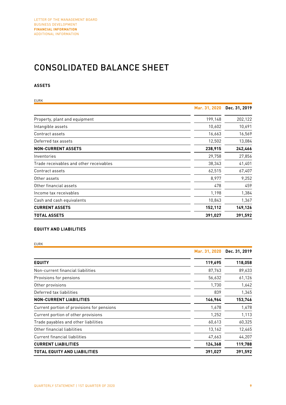### CONSOLIDATED BALANCE SHEET

### **ASSETS**

| <b>EURK</b>                             |               |               |
|-----------------------------------------|---------------|---------------|
|                                         | Mar. 31, 2020 | Dec. 31, 2019 |
| Property, plant and equipment           | 199,148       | 202,122       |
| Intangible assets                       | 10,602        | 10,691        |
| Contract assets                         | 16,663        | 16,569        |
| Deferred tax assets                     | 12,502        | 13,084        |
| <b>NON-CURRENT ASSETS</b>               | 238,915       | 242,466       |
| Inventories                             | 29,758        | 27,856        |
| Trade receivables and other receivables | 38,343        | 41,401        |
| Contract assets                         | 62,515        | 67,407        |
| Other assets                            | 8,977         | 9,252         |
| Other financial assets                  | 478           | 459           |
| Income tax receivables                  | 1,198         | 1,384         |
| Cash and cash equivalents               | 10,843        | 1,367         |
| <b>CURRENT ASSETS</b>                   | 152,112       | 149,126       |
| <b>TOTAL ASSETS</b>                     | 391,027       | 391,592       |

### **EQUITY AND LIABILITIES**

EURK

|                                            | Mar. 31, 2020 | Dec. 31, 2019 |  |
|--------------------------------------------|---------------|---------------|--|
| <b>EQUITY</b>                              | 119,695       | 118,058       |  |
| Non-current financial liabilities          | 87,763        | 89,633        |  |
| Provisions for pensions                    | 56,632        | 61,126        |  |
| Other provisions                           | 1,730         | 1,642         |  |
| Deferred tax liabilities                   | 839           | 1,345         |  |
| <b>NON-CURRENT LIABILITIES</b>             | 146,964       | 153,746       |  |
| Current portion of provisions for pensions | 1,678         | 1,678         |  |
| Current portion of other provisions        | 1,252         | 1,113         |  |
| Trade payables and other liabilities       | 60,613        | 60,325        |  |
| Other financial liabilities                | 13,162        | 12,465        |  |
| <b>Current financial liabilities</b>       | 47,663        | 44,207        |  |
| <b>CURRENT LIABILITIES</b>                 | 124,368       | 119,788       |  |
| TOTAL EQUITY AND LIABILITIES               | 391,027       | 391,592       |  |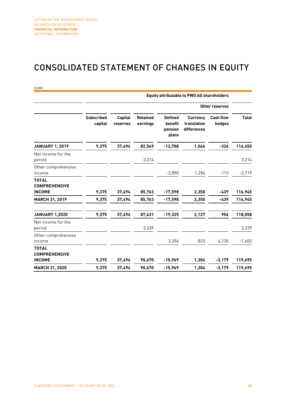### CONSOLIDATED STATEMENT OF CHANGES IN EQUITY

| <b>EURK</b>                                           |                              |                            |                             |                                               | <b>Equity attributable to PWO AG shareholders</b> |                            |                    |
|-------------------------------------------------------|------------------------------|----------------------------|-----------------------------|-----------------------------------------------|---------------------------------------------------|----------------------------|--------------------|
|                                                       |                              |                            |                             |                                               |                                                   | Other reserves             |                    |
|                                                       | <b>Subscribed</b><br>capital | <b>Capital</b><br>reserves | <b>Retained</b><br>earnings | <b>Defined</b><br>benefit<br>pension<br>plans | <b>Currency</b><br>translation<br>differences     | <b>Cash flow</b><br>hedges | <b>Total</b>       |
| <b>JANUARY 1, 2019</b>                                | 9,375                        | 37,494                     | 82,549                      | $-13,708$                                     | 1,066                                             | $-326$                     | 116,450            |
| Net income for the<br>period                          |                              |                            | 3,214                       |                                               |                                                   |                            | 3,214              |
| Other comprehensive<br>income                         |                              |                            |                             | $-3,890$                                      | 1,284                                             | $-113$                     | $-2,719$           |
| <b>TOTAL</b><br><b>COMPREHENSIVE</b>                  |                              |                            |                             |                                               |                                                   |                            |                    |
| <b>INCOME</b><br><b>MARCH 31, 2019</b>                | 9,375<br>9,375               | 37,494<br>37,494           | 85,763<br>85,763            | $-17,598$<br>$-17,598$                        | 2,350<br>2,350                                    | -439<br>-439               | 116,945<br>116,945 |
| <b>JANUARY 1,2020</b>                                 | 9,375                        | 37,494                     | 87,431                      | $-19,325$                                     | 2,127                                             | 956                        | 118,058            |
| Net income for the<br>period                          |                              |                            | 3,239                       |                                               |                                                   |                            | 3,239              |
| Other comprehensive<br>income                         |                              |                            |                             | 3,356                                         | $-823$                                            | $-4,135$                   | $-1,602$           |
| <b>TOTAL</b><br><b>COMPREHENSIVE</b><br><b>INCOME</b> | 9,375                        | 37,494                     | 90,670                      | $-15,969$                                     | 1,304                                             | $-3,179$                   | 119,695            |
| <b>MARCH 31, 2020</b>                                 | 9,375                        | 37,494                     | 90.670                      | $-15,969$                                     | 1,304                                             | $-3,179$                   | 119,695            |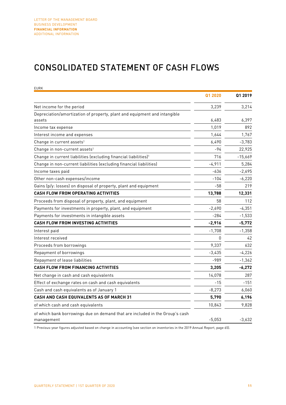### CONSOLIDATED STATEMENT OF CASH FLOWS

| <b>EURK</b>                                                                                |          |           |
|--------------------------------------------------------------------------------------------|----------|-----------|
|                                                                                            | Q1 2020  | Q1 2019   |
| Net income for the period                                                                  | 3,239    | 3,214     |
| Depreciation/amortization of property, plant and equipment and intangible                  |          |           |
| assets                                                                                     | 6,483    | 6,397     |
| Income tax expense                                                                         | 1,019    | 892       |
| Interest income and expenses                                                               | 1,644    | 1,767     |
| Change in current assets <sup>1</sup>                                                      | 6,490    | $-3,783$  |
| Change in non-current assets <sup>1</sup>                                                  | -94      | 22,925    |
| Change in current liabilities (excluding financial liabilities) <sup>1</sup>               | 716      | $-15,669$ |
| Change in non-current liabilities (excluding financial liabilities)                        | $-4,911$ | 5,284     |
| Income taxes paid                                                                          | $-636$   | $-2,695$  |
| Other non-cash expenses/income                                                             | $-104$   | $-6,220$  |
| Gains (p/y: losses) on disposal of property, plant and equipment                           | $-58$    | 219       |
| <b>CASH FLOW FROM OPERATING ACTIVITIES</b>                                                 | 13,788   | 12,331    |
| Proceeds from disposal of property, plant, and equipment                                   | 58       | 112       |
| Payments for investments in property, plant, and equipment                                 | $-2,690$ | $-4,351$  |
| Payments for investments in intangible assets                                              | $-284$   | $-1,533$  |
| <b>CASH FLOW FROM INVESTING ACTIVITIES</b>                                                 | $-2,916$ | $-5,772$  |
| Interest paid                                                                              | $-1,708$ | $-1,358$  |
| Interest received                                                                          | 0        | 42        |
| Proceeds from borrowings                                                                   | 9,337    | 632       |
| Repayment of borrowings                                                                    | $-3,435$ | $-4,226$  |
| Repayment of lease liabilities                                                             | $-989$   | $-1,362$  |
| <b>CASH FLOW FROM FINANCING ACTIVITIES</b>                                                 | 3,205    | $-6,272$  |
| Net change in cash and cash equivalents                                                    | 14,078   | 287       |
| Effect of exchange rates on cash and cash equivalents                                      | $-15$    | $-151$    |
| Cash and cash equivalents as of January 1                                                  | $-8,273$ | 6,060     |
| <b>CASH AND CASH EQUIVALENTS AS OF MARCH 31</b>                                            | 5,790    | 6,196     |
| of which cash and cash equivalents                                                         | 10,843   | 9,828     |
| of which bank borrowings due on demand that are included in the Group's cash<br>management | $-5,053$ | $-3,632$  |

1 Previous-year figures adjusted based on change in accounting (see section on inventories in the 2019 Annual Report, page 65).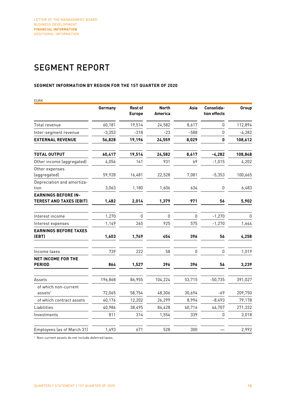## SEGMENT REPORT

### **SEGMENT INFORMATION BY REGION FOR THE 1ST QUARTER OF 2020**

| EURK                                                         | Germany  | <b>Rest of</b> | <b>North</b> | Asia   | Consolida-   | Group        |
|--------------------------------------------------------------|----------|----------------|--------------|--------|--------------|--------------|
|                                                              |          | <b>Europe</b>  | America      |        | tion effects |              |
| Total revenue                                                | 60,181   | 19,514         | 24,582       | 8,617  | $\mathbf{0}$ | 112,894      |
| Inter-segment revenue                                        | $-3,353$ | $-318$         | $-23$        | $-588$ | 0            | $-4,282$     |
| <b>EXTERNAL REVENUE</b>                                      | 56,828   | 19,196         | 24,559       | 8,029  | 0            | 108,612      |
| <b>TOTAL OUTPUT</b>                                          | 60,417   | 19,514         | 24,582       | 8,617  | $-4,282$     | 108,848      |
| Other income (aggregated)                                    | 4,056    | 161            | 931          | 69     | $-1,015$     | 4,202        |
| Other expenses<br>(aggregated)                               | 59,928   | 16,481         | 22,528       | 7,081  | $-5,353$     | 100,665      |
| Depreciation and amortiza-<br>tion                           | 3,063    | 1,180          | 1,606        | 634    | $\pmb{0}$    | 6,483        |
| <b>EARNINGS BEFORE IN-</b><br><b>TEREST AND TAXES (EBIT)</b> | 1,482    | 2,014          | 1,379        | 971    | 56           | 5,902        |
| Interest income                                              | 1,270    | $\mathbf{0}$   | 0            | 0      | $-1,270$     | $\mathbf{0}$ |
| Interest expenses                                            | 1,149    | 265            | 925          | 575    | $-1,270$     | 1,644        |
| <b>EARNINGS BEFORE TAXES</b><br>(EBT)                        | 1,603    | 1,749          | 454          | 396    | 56           | 4,258        |
|                                                              |          |                |              |        |              |              |
| Income taxes                                                 | 739      | 222            | 58           | 0      | $\mathbf{0}$ | 1,019        |
| <b>NET INCOME FOR THE</b><br><b>PERIOD</b>                   | 864      | 1,527          | 396          | 396    | 56           | 3,239        |
| Assets                                                       | 196,868  | 86,955         | 104,224      | 53,715 | $-50,735$    | 391,027      |
| of which non-current<br>assets <sup>1</sup>                  | 72,065   | 58,754         | 48,306       | 30,694 | -69          | 209,750      |
| of which contract assets                                     | 40,176   | 12,202         | 26,299       | 8,994  | $-8,493$     | 79,178       |
| Liabilities                                                  | 40,986   | 38,495         | 84,428       | 60,716 | 46,707       | 271,332      |
| Investments                                                  | 811      | 314            | 1,554        | 339    | 0            | 3,018        |
| Employees (as of March 31)                                   | 1,493    | 671            | 528          | 300    |              | 2,992        |

<sup>1</sup> Non-current assets do not include deferred taxes.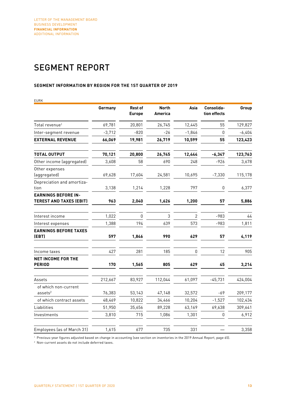## SEGMENT REPORT

#### **SEGMENT INFORMATION BY REGION FOR THE 1ST QUARTER OF 2019**

| EURK                                                         |          |                                 |                         |                |                            |          |
|--------------------------------------------------------------|----------|---------------------------------|-------------------------|----------------|----------------------------|----------|
|                                                              | Germany  | <b>Rest of</b><br><b>Europe</b> | <b>North</b><br>America | Asia           | Consolida-<br>tion effects | Group    |
| Total revenue <sup>1</sup>                                   | 69,781   | 20,801                          | 26,745                  | 12,445         | 55                         | 129,827  |
| Inter-segment revenue                                        | $-3,712$ | $-820$                          | $-26$                   | $-1,846$       | $\mathbf 0$                | $-6,404$ |
| <b>EXTERNAL REVENUE</b>                                      | 66,069   | 19,981                          | 26,719                  | 10,599         | 55                         | 123,423  |
| <b>TOTAL OUTPUT</b>                                          | 70,121   | 20,800                          | 26,745                  | 12,444         | $-6,347$                   | 123,763  |
| Other income (aggregated)                                    | 3,608    | 58                              | 690                     | 248            | $-926$                     | 3,678    |
| Other expenses<br>(aggregated)                               | 69,628   | 17,604                          | 24,581                  | 10,695         | $-7,330$                   | 115,178  |
| Depreciation and amortiza-<br>tion                           | 3,138    | 1,214                           | 1,228                   | 797            | 0                          | 6,377    |
| <b>EARNINGS BEFORE IN-</b><br><b>TEREST AND TAXES (EBIT)</b> | 963      | 2,040                           | 1,626                   | 1,200          | 57                         | 5,886    |
| Interest income                                              | 1,022    | 0                               | 3                       | $\overline{2}$ | $-983$                     | $44$     |
| Interest expenses                                            | 1,388    | 194                             | 639                     | 573            | -983                       | 1,811    |
| <b>EARNINGS BEFORE TAXES</b><br>(EBT)                        | 597      | 1,846                           | 990                     | 629            | 57                         | 4,119    |
| Income taxes                                                 | 427      | 281                             | 185                     | 0              | 12                         | 905      |
| <b>NET INCOME FOR THE</b><br><b>PERIOD</b>                   | 170      | 1,565                           | 805                     | 629            | 45                         | 3,214    |
| Assets                                                       | 212,667  | 83,927                          | 112,044                 | 61,097         | $-45,731$                  | 424,004  |
| of which non-current<br>$ases$ <sup>2</sup>                  | 76,383   | 53,143                          | 47,148                  | 32,572         | -69                        | 209,177  |
| of which contract assets                                     | 48,469   | 10,822                          | 34,466                  | 10,204         | $-1,527$                   | 102,434  |
| Liabilities                                                  | 51,950   | 35,656                          | 89,228                  | 63,169         | 69,638                     | 309,641  |
| Investments                                                  | 3,810    | 715                             | 1,086                   | 1,301          | 0                          | 6,912    |
| Employees (as of March 31)                                   | 1,615    | 677                             | 735                     | 331            |                            | 3,358    |

<sup>1</sup> Previous-year figures adjusted based on change in accounting (see section on inventories in the 2019 Annual Report, page 65).

<sup>2</sup> Non-current assets do not include deferred taxes.